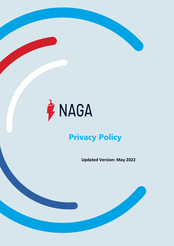

**NAGA Markets Europe Ltd**

Licensed and regulated by CySEC with License No. 204/13 Address: Ariadnis 7, Moutayiaka, CY-4531 Limassol

# **Privacy Policy**

**Updated Version: May 2022**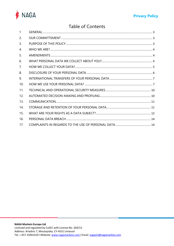

## Table of Contents

| $\mathbf{1}$ |  |
|--------------|--|
| 2.           |  |
| 3.           |  |
| 4.           |  |
| 5.           |  |
| 6.           |  |
| 7.           |  |
| 8.           |  |
| 9.           |  |
| 10.          |  |
| 11.          |  |
| 12.          |  |
| 13.          |  |
| 14.          |  |
| 15.          |  |
| 16.          |  |
| 17.          |  |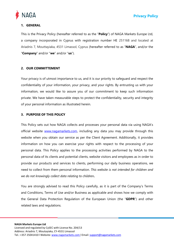

## <span id="page-2-0"></span>**1. GENERAL**

This is the Privacy Policy (hereafter referred to as the "**Policy**") of NAGA Markets Europe Ltd, a company incorporated in Cyprus with registration number HE 251168 and located at Ariadnis 7, Mouttayiaka, 4531 Limassol, Cyprus (hereafter referred to as "**NAGA**", and/or the "**Company**" and/or "**we**" and/or "**us**").

## <span id="page-2-1"></span>**2. OUR COMMITTEMENT**

Your privacy is of utmost importance to us, and it is our priority to safeguard and respect the confidentiality of your information, your privacy, and your rights. By entrusting us with your information, we would like to assure you of our commitment to keep such information private. We have taken measurable steps to protect the confidentiality, security and integrity of your personal information as illustrated herein.

## <span id="page-2-2"></span>**3. PURPOSE OF THIS POLICY**

This Policy sets out how NAGA collects and processes your personal data via using NAGA's official website [www.nagamarkets.com,](https://nagamarkets.com/) including any data you may provide through this website when you obtain our service as per the Client Agreement. Additionally, it provides information on how you can exercise your rights with respect to the processing of your personal data. This Policy applies to the processing activities performed by NAGA to the personal data of its clients and potential clients, website visitors and employees as in order to provide our products and services to clients, performing our daily business operations, we need to collect from them personal information. *This website is not intended for children and we do not knowingly collect data relating to children***.**

You are strongly advised to read this Policy carefully, as it is part of the Company's Terms and Conditions, Terms of Use and/or Business as applicable and shows how we comply with the General Data Protection Regulation of the European Union (the "**GDPR**") and other related laws and regulations.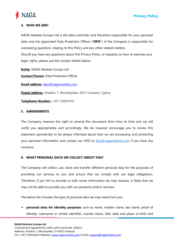

## <span id="page-3-0"></span>**4. WHO WE ARE?**

NAGA Markets Europe Ltd is the data controller and therefore responsible for your personal data and the appointed Data Protection Officer ("**DPO**") of the Company is responsible for overseeing questions relating to this Policy and any other related matters.

Should you have any questions about this Privacy Policy, or requests on how to exercise your legal rights, please use the contact details below:

**Entity**: NAGA Markets Europe Ltd

**Contact Person**: Data Protection Officer

**Email address**: [dpo@nagamarkets.com](mailto:dpo@nagamarkets.com)

**Postal address**: Ariadnis 7, Mouttayiaka, 4531 Limassol, Cyprus

**Telephone Number:** +357 25041410

## <span id="page-3-1"></span>**5. AMENDMENTS**

The Company reserves the right to amend this document from time to time and we will notify you appropriately and accordingly. We do however encourage you to review this statement periodically to be always informed about how we are processing and protecting your personal information and contact our DPO at [dpo@nagamarkets.com](mailto:dpo@nagamarkets.com) if you have any concerns.

## <span id="page-3-2"></span>**6. WHAT PERSONAL DATA WE COLLECT ABOUT YOU?**

The Company will collect, use, store and transfer different personal data for the purposes of providing our services to you and ensure that we comply with our legal obligations. Therefore, if you fail to provide us with some information we may request, is likely that we may not be able to provide you with our products and/or services.

The below list includes the type of personal data we may need from you:

➢ **personal data for identity purposes** such as name, maiden name, last name, proof of identity, username or similar identifier, marital status, title, date and place of birth and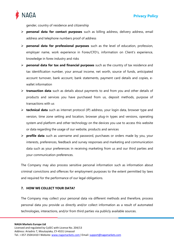

gender, country of residence and citizenship

- ➢ **personal data for contact purposes** such as billing address, delivery address, email address and telephone numbers proof of address
- ➢ **personal data for professional purposes** such as the level of education, profession, employer name, work experience in Forex/CFD's, information on Client's experience, knowledge in forex industry and risks
- ➢ **personal data for tax and financial purposes** such as the country of tax residence and tax identification number, your annual income, net worth, source of funds, anticipated account turnover, bank account, bank statements, payment card details and copies, ewallet information
- ➢ **transaction data** such as details about payments to and from you and other details of products and services you have purchased from us, deposit methods, purpose of transactions with us
- ➢ **technical data** such as internet protocol (IP) address, your login data, browser type and version, time zone setting and location, browser plug-in types and versions, operating system and platform and other technology on the devices you use to access this website or data regarding the usage of our website, products and services
- ➢ **profile data** such as username and password, purchases or orders made by you, your interests, preferences, feedback and survey responses and marketing and communication data such as your preferences in receiving marketing from us and our third parties and your communication preferences.

The Company may also process sensitive personal information such as information about criminal convictions and offences for employment purposes to the extent permitted by laws and required for the performance of our legal obligations.

## <span id="page-4-0"></span>**7. HOW WE COLLECT YOUR DATA?**

The Company may collect your personal data via different methods and therefore, process personal data you provide us directly and/or collect information as a result of automated technologies, interactions, and/or from third parties via publicly available sources.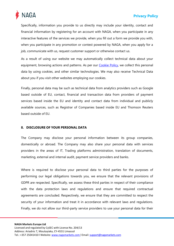



Specifically, information you provide to us directly may include your identity, contact and financial information by registering for an account with NAGA, when you participate in any interactive features of the services we provide, when you fill out a form we provide you with, when you participate in any promotion or contest powered by NAGA, when you apply for a job, communicate with us, request customer support or otherwise contact us.

As a result of using our website we may automatically collect technical data about your equipment, browsing actions and patterns. As per our **[Cookie](https://nagamarkets.com/cookie-policy) Policy**, we collect this personal data by using cookies, and other similar technologies. We may also receive Technical Data about you if you visit other websites employing our cookies.

Finally, personal data may be such as technical data from analytics providers such as Google based outside of EU, contact, financial and transaction data from providers of payment services based inside the EU and identity and contact data from individual and publicly available sources, such as Registrar of Companies based inside EU and Thomson Reuters based outside of EU.

#### <span id="page-5-0"></span>**8. DISCLOSURE OF YOUR PERSONAL DATA**

The Company may disclose your personal information between its group companies, domestically or abroad. The Company may also share your personal data with services providers in the areas of IT, Trading platforms administration, translation of documents, marketing, external and internal audit, payment service providers and banks.

Where is required to disclose your personal data to third parties for the purposes of performing our legal obligations towards you, we ensure that the relevant provisions of GDPR are respected. Specifically, we assess these third parties in respect of their compliance with the data protection laws and regulations and ensure that required contractual agreements are concluded. Respectively, we ensure that they are committed to respect the security of your information and treat it in accordance with relevant laws and regulations. Finally, we do not allow our third-party service providers to use your personal data for their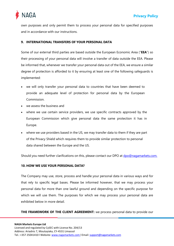

own purposes and only permit them to process your personal data for specified purposes and in accordance with our instructions.

## <span id="page-6-0"></span>**9. INTERNATIONAL TRANSFERS OF YOUR PERSONAL DATA**

Some of our external third parties are based outside the European Economic Area ("**EEA**") so their processing of your personal data will involve a transfer of data outside the EEA. Please be informed that, whenever we transfer your personal data out of the EEA, we ensure a similar degree of protection is afforded to it by ensuring at least one of the following safeguards is implemented:

- we will only transfer your personal data to countries that have been deemed to provide an adequate level of protection for personal data by the European Commission.
- we assess the business and
- where we use certain service providers, we use specific contracts approved by the European Commission which give personal data the same protection it has in Europe.
- where we use providers based in the US, we may transfer data to them if they are part of the Privacy Shield which requires them to provide similar protection to personal data shared between the Europe and the US.

Should you need further clarifications on this, please contact our DPO at [dpo@nagamarkets.com.](mailto:dpo@nagamarkets.com.)

## <span id="page-6-1"></span>**10. HOW WE USE YOUR PERSONAL DATA?**

The Company may use, store, process and handle your personal data in various ways and for that rely to specific legal bases. Please be informed however, that we may process your personal data for more than one lawful ground and depending on the specific purpose for which we will use them. The purposes for which we may process your personal data are exhibited below in more detail.

**THE FRAMEWORK OF THE CLIENT AGREEMENT:** we process personal data to provide our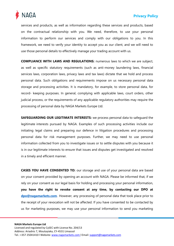

services and products, as well as information regarding these services and products, based on the contractual relationship with you. We need, therefore, to use your personal information to perform our services and comply with our obligations to you. In this framework, we need to verify your identity to accept you as our client, and we will need to use those personal details to effectively manage your trading account with us.

**COMPLIANCE WITH LAWS AND REGULATIONS:** numerous laws to which we are subject, as well as specific statutory requirements (such as anti-money laundering laws, financial services laws, corporation laws, privacy laws and tax laws) dictate that we hold and process personal data. Such obligations and requirements impose on us necessary personal data storage and processing activities. It is mandatory, for example, to store personal data, for record- keeping purposes. In general, complying with applicable laws, court orders, other judicial process, or the requirements of any applicable regulatory authorities may require the processing of personal data by NAGA Markets Europe Ltd.

**SAFEGUARDING OUR LEGITIMATE INTERESTS:** we process personal data to safeguard the legitimate interests pursued by NAGA. Examples of such processing activities include our initiating legal claims and preparing our defence in litigation procedures and processing personal data for risk management purposes. Further, we may need to use personal information collected from you to investigate issues or to settle disputes with you because it is in our legitimate interests to ensure that issues and disputes get investigated and resolved in a timely and efficient manner.

**CASES YOU HAVE CONSENTED TO:** our storage and use of your personal data are based on your consent provided by opening an account with NAGA. Please be informed that, if we rely on your consent as our legal basis for holding and processing your personal information, **you have the right to revoke consent at any time, by contacting our DPO at [dpo@nagamarkets.com](mailto:dpo@nagamarkets.com)**. However, any processing of personal data that took place prior to the receipt of your revocation will not be affected. If you have consented to be contacted by us for marketing purposes, we may use your personal information to send you marketing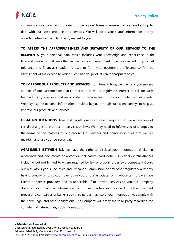

communications by email or phone or other agreed forms to ensure that you are kept up to date with our latest products and services. We will not disclose your information to any outside parties for them to directly market to you.

**TO ASSESS THE APPROPRIATENESS AND SUITABILITY OF OUR SERVICES TO THE RECIPIENTS**: your personal data, which includes your knowledge and experience in the financial products that we offer, as well as your investment objectives including your risk tolerance and financial situation, is used to form your economic profile and confirm our assessment of the degree to which such financial products are appropriate to you.

**TO IMPROVE OUR PRODUCTS AND SERVICES:** from time to time, we may send you surveys as part of our customer feedback process. It is in our legitimate interest to ask for such feedback to try to ensure that we provide our services and products at the highest standards. We may use the personal information provided by you through such client surveys to help us improve our products and services.

**LEGAL NOTIFICATIONS:** laws and regulations occasionally require that we advise you of certain changes to products or services or laws. We may need to inform you of changes to the terms or the features of our products or services and doing so implies that we will maintain and use your personal data.

**AGREEMENT BETWEEN US**: we have the right to disclose your Information (including recordings and documents of a confidential nature, card details) in certain circumstances including but not limited to where required by law or a court order by a competent Court, our regulator Cyprus Securities and Exchange Commission or any other regulatory authority having control or jurisdiction over us or you or our associates or in whose territory we have clients or service providers and as applicable. If to provide services to you the Company discloses your personal information to business parties such as card or other payment processing companies or banks, such third parties may store your information to comply with their own legal and other obligations. The Company will notify the third party regarding the confidential nature of any such information.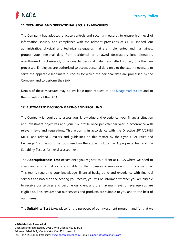

## <span id="page-9-0"></span>**11. TECHNICAL AND OPERATIONAL SECURITY MEASURES**

The Company has adopted practice controls and security measures to ensure high level of information security and compliance with the relevant provisions of GDPR. Indeed, our administrative, physical, and technical safeguards that are implemented and maintained, protect your personal data from accidental or unlawful destruction, loss, alteration, unauthorized disclosure of, or access to personal data transmitted, sorted, or otherwise processed. Employees are authorized to access personal data only to the extent necessary to serve the applicable legitimate purposes for which the personal data are processed by the Company and to perform their job.

Details of these measures may be available upon request at  $dpo@nagamarket.com$  and to the discretion of the DPO.

## <span id="page-9-1"></span>**12. AUTOMATED DECISION-MAKING AND PROFILING**

The Company is required to assess your knowledge and experience, your financial situation and investment objectives and your risk profile once per calendar year in accordance with relevant laws and regulations. This action is in accordance with the Directive 2014/65/EU MIFID and related Circulars and guidelines on this matter by the Cyprus Securities and Exchange Commission. The tools used on the above include the Appropriate Test and the Suitability Test as further discussed next.

The **Appropriateness Test** occurs once you register as a client at NAGA where we need to check and ensure that you are suitable for the provision of services and products we offer. This test is regarding your knowledge, financial background and experience with financial services and based on the scoring you receive, you will be informed whether you are eligible to receive our services and become our client and the maximum level of leverage you are eligible to. This ensures that our services and products are suitable to you and to the best of our interest.

The **Suitability Test** takes place for the purposes of our investment program and for that we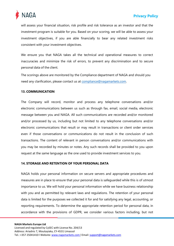

will assess your financial situation, risk profile and risk tolerance as an investor and that the investment program is suitable for you. Based on your scoring, we will be able to assess your investment objectives, if you are able financially to bear any related investment risks consistent with your investment objectives.

We ensure you that NAGA takes all the technical and operational measures to correct inaccuracies and minimize the risk of errors, to prevent any discrimination and to secure personal data of the client.

The scorings above are monitored by the Compliance department of NAGA and should you need any clarification, please contact us at [compliance@nagamarkets.com.](mailto:compliance@nagamarkets.com)

## <span id="page-10-0"></span>**13. COMMUNICATION**

The Company will record, monitor and process any telephone conversations and/or electronic communications between us such as through fax, email, social media, electronic message between you and NAGA. All such communications are recorded and/or monitored and/or processed by us, including but not limited to any telephone conversations and/or electronic communications that result or may result in transactions or client order services even if those conversations or communications do not result in the conclusion of such transactions. The content of relevant in person conversations and/or communications with you may be recorded by minutes or notes. Any such records shall be provided to you upon request at the same language as the one used to provide investment services to you.

## <span id="page-10-1"></span>**14. STORAGE AND RETENTION OF YOUR PERSONAL DATA**

NAGA holds your personal information on secure servers and appropriate procedures and measures are in place to ensure that your personal data is safeguarded while this is of utmost importance to us. We will hold your personal information while we have business relationship with you and as permitted by relevant laws and regulations. The retention of your personal data is limited for the purposes we collected it for and for satisfying any legal, accounting, or reporting requirements. To determine the appropriate retention period for personal data, in accordance with the provisions of GDPR, we consider various factors including, but not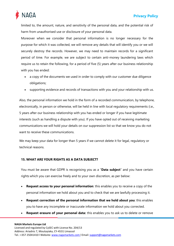



limited to, the amount, nature, and sensitivity of the personal data, and the potential risk of harm from unauthorised use or disclosure of your personal data.

Moreover when we consider that personal information is no longer necessary for the purpose for which it was collected, we will remove any details that will identify you or we will securely destroy the records. However, we may need to maintain records for a significant period of time. For example, we are subject to certain anti-money laundering laws which require us to retain the following, for a period of five (5) years after our business relationship with you has ended:

- a copy of the documents we used in order to comply with our customer due diligence obligations;
- supporting evidence and records of transactions with you and your relationship with us.

Also, the personal information we hold in the form of a recorded communication, by telephone, electronically, in person or otherwise, will be held in line with local regulatory requirements (i.e., 5 years after our business relationship with you has ended or longer if you have legitimate interests (such as handling a dispute with you). If you have opted out of receiving marketing communications we will hold your details on our suppression list so that we know you do not want to receive these communications.

We may keep your data for longer than 5 years if we cannot delete it for legal, regulatory or technical reasons.

## <span id="page-11-0"></span>**15. WHAT ARE YOUR RIGHTS AS A DATA SUBJECT?**

You must be aware that GDPR is recognising you as a "**Data subject**" and you have certain rights which you can exercise freely and to your own discretion, as per below:

- **Request access to your personal information**: this enables you to receive a copy of the personal information we hold about you and to check that we are lawfully processing it.
- **Request correction of the personal information that we hold about you**: this enables you to have any incomplete or inaccurate information we hold about you corrected.
- **Request erasure of your personal data:** this enables you to ask us to delete or remove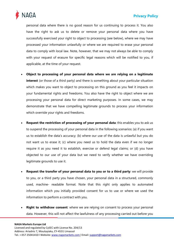

personal data where there is no good reason for us continuing to process it. You also have the right to ask us to delete or remove your personal data where you have successfully exercised your right to object to processing (see below), where we may have processed your information unlawfully or where we are required to erase your personal data to comply with local law. Note, however, that we may not always be able to comply with your request of erasure for specific legal reasons which will be notified to you, if applicable, at the time of your request.

- **Object to processing of your personal data where we are relying on a legitimate interest** (or those of a third party) and there is something about your particular situation which makes you want to object to processing on this ground as you feel it impacts on your fundamental rights and freedoms. You also have the right to object where we are processing your personal data for direct marketing purposes. In some cases, we may demonstrate that we have compelling legitimate grounds to process your information which override your rights and freedoms.
- **Request the restriction of processing of your personal data**: this enables you to ask us to suspend the processing of your personal data in the following scenarios: (a) if you want us to establish the data's accuracy; (b) where our use of the data is unlawful but you do not want us to erase it; (c) where you need us to hold the data even if we no longer require it as you need it to establish, exercise or defend legal claims; or (d) you have objected to our use of your data but we need to verify whether we have overriding legitimate grounds to use it.
- **Request the transfer of your personal data to you or to a third party**: we will provide to you, or a third party you have chosen, your personal data in a structured, commonly used, machine- readable format. Note that this right only applies to automated information which you initially provided consent for us to use or where we used the information to perform a contract with you.
- **Right to withdraw consent**: where we are relying on consent to process your personal data. However, this will not affect the lawfulness of any processing carried out before you